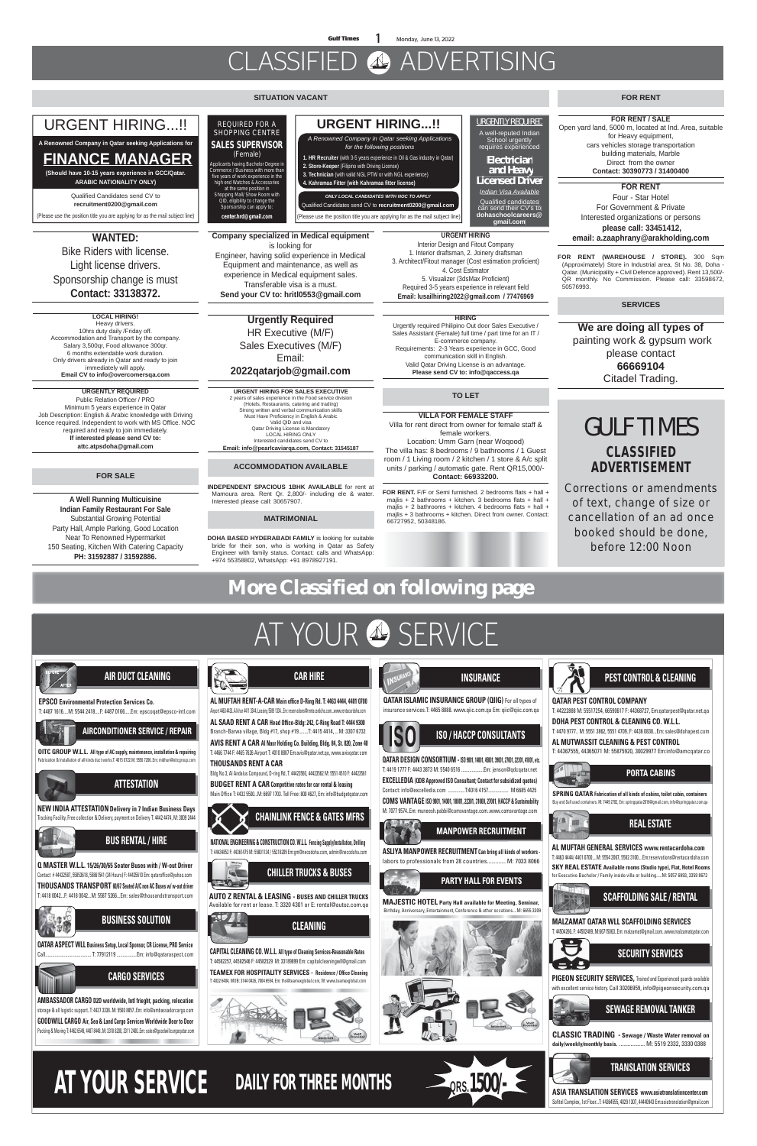# CLASSIFIED ADVERTISING

# **More Classified on following page**

# AT YOUR & SERVICE

#### **SITUATION VACANT**

#### **FOR SALE**

# **CLASSIFIED ADVERTISEMENT**

**Corrections or amendments of text, change of size or cancellation of an ad once booked should be done, before 12:00 Noon**

**A Well Running Multicuisine Indian Family Restaurant For Sale** Substantial Growing Potential Party Hall, Ample Parking, Good Location Near To Renowned Hypermarket 150 Seating, Kitchen With Catering Capacity **PH: 31592887 / 31592886.**

#### **MATRIMONIAL**

**DOHA BASED HYDERABADI FAMILY** is looking for suitable bride for their son, who is working in Qatar as Safety Engineer with family status. Contact: calls and WhatsApp: +974 55358802, WhatsApp: +91 8978927191.

### **FOR RENT**

room / 1 Living room / 2 kitchen / 1 store & A/c split

(Approximately) Store in Industrial area, St No. 38, Doha - Qatar. (Municipality + Civil Defence approved). Rent 13,500/- QR monthly. No Commission. Please call: 33598672,

### units / parking / automatic gate. Rent QR15,000/- **Contact: 66933200. FOR RENT.** F/F or Semi furnished. 2 bedrooms flats + hall + mailis + 2 bathrooms + kitchen. 3 bedrooms flats + hall + majlis + 2 bathrooms + kitchen. 4 bedrooms flats + hall +

majlis + 3 bathrooms + kitchen. Direct from owner. Contact: 66727952, 50348186.

#### **ACCOMMODATION AVAILABLE**

**INDEPENDENT SPACIOUS 1BHK AVAILABLE** for rent at Mamoura area. Rent Qr. 2,800/- including ele & water. Interested please call: 30657907.

Open yard land, 5000 m, located at Ind. Area, suitable

GULF TIMES **WANTED:**  Bike Riders with license. Light license drivers. Sponsorship change is must **Contact: 33138372. TO LET VILLA FOR FEMALE STAFF** Villa for rent direct from owner for female staff & female workers. Location: Umm Garn (near Woqood) The villa has: 8 bedrooms / 9 bathrooms / 1 Guest **FOR RENT (WAREHOUSE / STORE).** 300 Sqm 50576993. *REQUIRED FOR A SHOPPING CENTRE*  **SALES SUPERVISOR**  *(Female)* Applicants having Bachelor Degree in Commerce / Business with more than ive years of work experience in the high end Watches & Accessories at the same position in Shopping Mall/ Show Room with QID, eligibility to change the Sponsorship can apply to: **center.hrd@gmail.com** URGENTLY REQUIRED A well-reputed Indian School urgently requires experienced **Electrician** and Heavy Licensed Driver *Indian Visa Available* Qualified candidates can send their CV's to **dohaschoolcareers@ gmail.com** URGENT HIRING...!! Qualified Candidates send CV to **recruitment0200@gmail.com**  (Please use the position title you are applying for as the mail subject line) **A Renowned Company in Qatar seeking Applications for FINANCE MANAGER (Should have 10-15 years experience in GCC/Qatar. ARABIC NATIONALITY ONLY) SERVICES URGENT HIRING** Interior Design and Fitout Company 1. Interior draftsman, 2. Joinery draftsman 3. Architect/Fitout manager (Cost estimation proficient) 4. Cost Estimator 5. Visualizer (3dsMax Proficient) Required 3-5 years experience in relevant field **Email: lusailhiring2022@gmail.com / 77476969 LOCAL HIRING!** Heavy drivers. 10hrs duty daily /Friday off. Accommodation and Transport by the company. Salary 3,500gr, Food allowance 300gr. 6 months extendable work duration. Only drivers already in Qatar and ready to join immediately will apply. **Email CV to info@overcomersqa.com Urgently Required**  HR Executive (M/F) Sales Executives (M/F) Email: **2022qatarjob@gmail.com HIRING** Urgently required Philipino Out door Sales Executive / Sales Assistant (Female) full time / part time for an IT / E-commerce company. Requirements: 2-3 Years experience in GCC, Good communication skill in English. Valid Qatar Driving License is an advantage. **Please send CV to: info@qaccess.qa URGENTLY REQUIRED** Public Relation Officer / PRO Minimum 5 years experience in Qatar Job Description: English & Arabic knowledge with Driving licence required. Independent to work with MS Office. NOC required and ready to join immediately. **If interested please send CV to: attc.atpsdoha@gmail.com URGENT HIRING FOR SALES EXECUTIVE** 2 years of sales experience in the Food service division (Hotels, Restaurants, catering and trading) Strong written and verbal communication skills Must Have Proficiency in English & Arabic Valid QID and visa Qatar Driving License is Mandatory LOCAL HIRING ONLY Interested candidates send CV to **Email: info@pearlcaviarqa.com, Contact: 31545187 Company specialized in Medical equipment** is looking for Engineer, having solid experience in Medical Equipment and maintenance, as well as experience in Medical equipment sales. Transferable visa is a must. **Send your CV to: hritl0553@gmail.com We are doing all types of** painting work & gypsum work please contact **66669104**  Citadel Trading. **FOR RENT** Four - Star Hotel For Government & Private Interested organizations or persons  **please call: 33451412, email: a.zaaphrany@arakholding.com FOR RENT / SALE** for Heavy equipment, cars vehicles storage transportation building materials, Marble Direct from the owner **Contact: 30390773 / 31400400 URGENT HIRING...!!**  (Please use the position title you are applying for as the mail subject line) *ONLY LOCAL CANDIDATES WITH NOC TO APPLY*  Qualified Candidates send CV to **recruitment0200@gmail.com** *A Renowned Company in Qatar seeking Applications for the following positions*  **1. HR Recruiter** (with 3-5 years experience in Oil & Gas industry in Qatar) **2. Store-Keeper** (Filipino with Driving License) **3. Technician** (with valid NGL PTW or with NGL experience) **4. Kahramaa Fitter (with Kahramaa fitter license)**



**CAR HIRE**

# **ISO / HACCP CONSULTANTS**



**QATAR DESIGN CONSORTIUM -ISO 9001, 14001, 45001, 39001, 27001, 22301, 41001, etc.** T: 4419 1777 F: 4443 3873 M: 5540 6516 ...................Em: jenson@qdcqatar.net **EXCELLEDIA (QDB Approved ISO Consultant; Contact for subsidized quotes)** Contact: info@excelledia.com ..............T:4016 4157................. M:6685 4425 **COMS VANTAGE ISO 9001, 14001, 18001, 22301, 31000, 27001, HACCP & Sustainability**

**INSURANCE**



**QATAR ISLAMIC INSURANCE GROUP (QIIG)** For all types of insurance services.T: 4465 8888. www.qiic.com.qa Em: qiic@qiic.com.qa

### **PARTY HALL FOR EVENTS**

**MAJESTIC HOTEL Party Hall available for Meeting, Seminar,** Birthday, Anniversary, Entertainment, Conference & other occations....M: 6655 3309





## **QATAR PEST CONTROL COMPANY**

T: 44222888 M: 55517254, 66590617 F: 44368727, Em:qatarpest@qatar.net.qa

**DOHA PEST CONTROL & CLEANING CO. W.L.L.**  T: 4470 9777.. M: 5551 3862, 5551 4709..F: 4436 0838...Em: sales@dohapest.com

**AL MUTWASSIT CLEANING & PEST CONTROL** T: 44367555, 44365071 M: 55875920, 30029977 Em:info@amcqatar.co



間

## **MANPOWER RECRUITMENT**

**ASLIYA MANPOWER RECRUITMENT Can bring all kinds of workers**  labors to professionals from 28 countries............. M: 7033 8066 **SPRING QATAR Fabrication of all kinds of cabins, toilet cabin, containers**  Buy and Sell used containers. M: 7449 2702, Em: springqatar2016@gmail.com, info@springqatar.com.qa

### **PORTA CABINS**



**MALZAMAT QATAR WLL SCAFFOLDING SERVICES** T: 44504266..F: 44502489..M:66715063..Em: malzamat@gmail.com..www.malzamatqatar.com





**ASIA TRANSLATION SERVICES www.asiatranslationcenter.com** Sofitel Complex, 1st Floor...T: 44364555, 4029 1307, 44440943 Em:asiatranslation@gmail.com



**CLASSIC TRADING - Sewage / Waste Water removal on daily/weekly/monthly basis.** .................. M: 5519 2332, 3330 0388

### **SECURITY SERVICES**

**PIGEON SECURITY SERVICES,** Trained and Experienced guards available with excellent service history. Call 30206959, info@pigeonsecurity.com.qa

**AL MUFTAH GENERAL SERVICES www.rentacardoha.com**

T: 4463 4444/ 4401 0700....M: 5554 2067, 5582 3100....Em:reservations@rentacardoha.com

### **REAL ESTATE**

**SKY REAL ESTATE Available rooms (Studio type), Flat, Hotel Rooms** for Executive Bachelor / Family inside villa or building.....M: 5057 6993, 3359 8672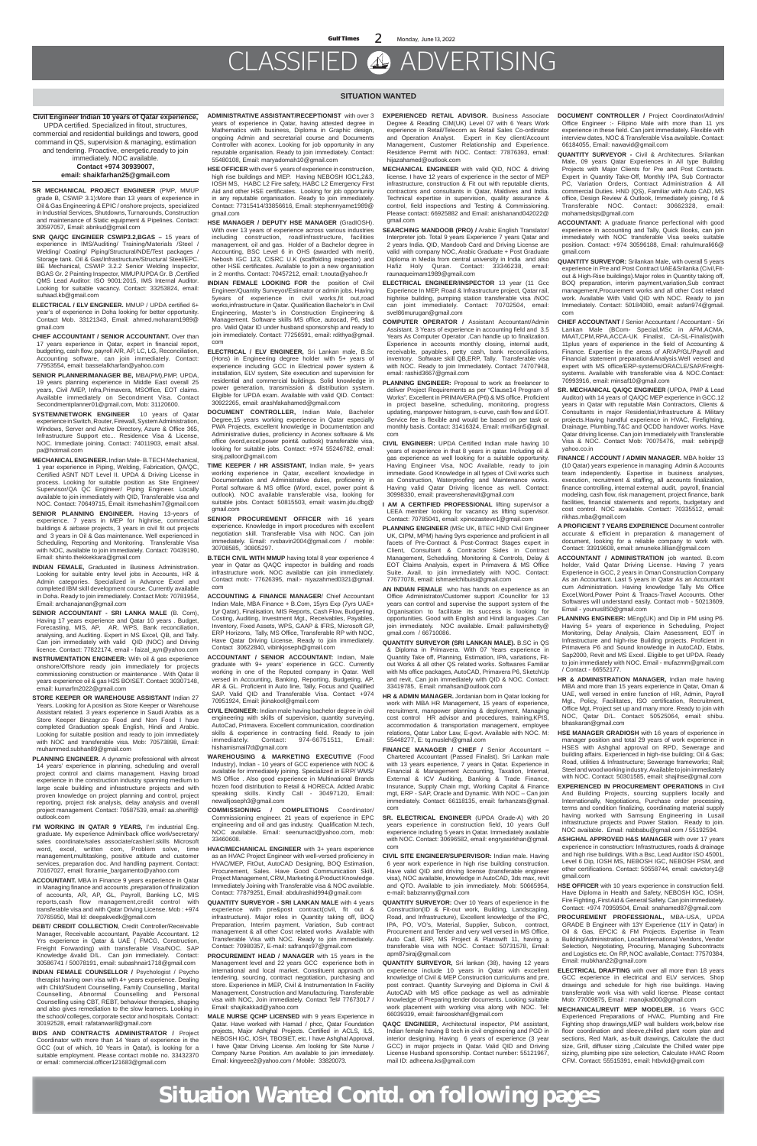# CLASSIFIED ADVERTISING

#### **SITUATION WANTED**

**SR MECHANICAL PROJECT ENGINEER** (PMP, MMUP grade B, CSWIP 3.1):More than 13 years of experience in Oil & Gas Engineering & EPIC / onshore projects, specialized in Industrial Services, Shutdowns, Turnarounds, Construction and maintenance of Static equipment & Pipelines. Contact: 30597057, Email: abnkud@gmail.com

**SNR QA/QC ENGINEER CSWIP3.2,BGAS –** 15 years of experience in IMS/Auditing/ Training/Materials /Steel / Welding/ Coating/ Piping/Structural/NDE/Test packages / Storage tank. Oil & Gas/Infrastructure/Structural Steel/EPC. BE Mechanical, CSWIP 3.2.2 Senior Welding Inspector, BGAS Gr. 2 Painting Inspector, MMUP/UPDA Gr. B ,Certified QMS Lead Auditor: ISO 9001:2015, IMS Internal Auditor. Looking for suitable vacancy. Contact: 33253824, email: suhaad.kb@gmail.com

- **ELECTRICAL / ELV ENGINEER.** MMUP / UPDA certified 6+ year's of experience in Doha looking for better opportunity. Contact Mob. 33121343, Email: ahmed.moharam1989@ gmail.com
- **CHIEF ACCOUNTANT / SENIOR ACCOUNTANT.** Over than 17 years experience in Qatar, expert in financial report, budgeting, cash flow, payroll A/R, AP, LC, LG, Reconciliation, Accounting software, can join immediately. Contact: 77953554, email: basselalkharfan@yahoo.com
- **SENIOR PLANNER/MANAGER BE,** MBA(PM),PMP, UPDA, 19 years planning experience in Middle East overall 25 years, Civil /MEP, Infra,Primavera, MSOffice, EOT claims. Available immediately on Secondment Visa. Contact Secondmentplanner01@gmail.com, Mob: 31120600.
- **SYSTEM/NETWORK ENGINEER** 10 years of Qatar experience in Switch, Router, Firewall, System Administration, Windows, Server and Active Directory, Azure & Office 365, Infrastructure Support etc... Residence Visa & License, NOC. Immediate joining. Contact: 74011903, email: afsal. pa@hotmail.com
- **MECHANICAL ENGINEER.** Indian Male- B.TECH Mechanical, 1 year experience in Piping, Welding, Fabrication, QA/QC, Certified ASNT NDT Level II. UPDA & Driving License in process. Looking for suitable position as Site Engineer/ Supervisor/QA QC Engineer/ Piping Engineer. Locally available to join immediately with QID, Transferable visa and NOC. Contact: 70649715, Email: itsmehashim7@gmail.com
- **SENIOR PLANNING ENGINEER.** Having 13-years of experience. 7 years in MEP for highrise, commercial buildings & airbase projects, 3 years in civil fit out projects and 3 years in Oil & Gas maintenance. Well experienced in Scheduling, Reporting and Monitoring. Transferable Visa with NOC, available to join immediately. Contact: 70439190, Email: shinto.thekkekkara@gmail.com

**INDIAN FEMALE,** Graduated in Business Administration. Looking for suitable entry level jobs in Accounts, HR & Admin categories. Specialized in Advance Excel and completed IBM skill development course. Currently available in Doha. Ready to join immediately. Contact Mob: 70781954, Email: archanajanan@gmail.com

**SENIOR ACCOUNTANT - SRI LANKA MALE** (B. Com), Having 17 years experience and Qatar 10 years . Budget, Forecasting, MIS, AP, AR, WPS, Bank reconciliation, analysing, and Auditing. Expert in MS Excel, QB, and Tally. Can join immediately with valid QID (NOC) and Driving licence. Contact: 77822174, email - faizal\_ayn@yahoo.com

**INSTRUMENTATION ENGINEER:** With oil & gas experience onshore/Offshore ready join immediately for projects commissioning construction or maintenance . With Qatar 8 years experience oil & gas H2S BOISET. Contact: 30307148,

email: kumarfm2022@gmail.com

**STORE KEEPER OR WAREHOUSE ASSISTANT** Indian 27 Years. Looking for A position as Store Keeper or Warehouse Assistant related. 3 years experience in Saudi Arabia as a Store Keeper Binzagr.co Food and Non Food I have completed Graduation speak English, Hindi and Arabic. Looking for suitable position and ready to join immediately with NOC and transferable visa. Mob: 70573898, Email: muhammed.subhan89@gmail.com

**PLANNING ENGINEER.** A dynamic professional with almost 14 years' experience in planning, scheduling and overall project control and claims management. Having broad experience in the construction industry spanning medium to large scale building and infrastructure projects and with proven knowledge on project planning and control, project reporting, project risk analysis, delay analysis and overall project management. Contact: 70587539, email: aa.sheriff@ outlook.com

**I'M WORKING IN QATAR 9 YEARS,** I'm industrial Eng. graduate. My experience Admin/back office work/secretary/ sales coordinate/sales associate/cashier/.skills Microsoft word, excel, written com, Problem solve, time management,multitasking, positive attitude and customer services, preparation doc. And handling payment. Contact: 70167027, email: floramie\_bargamento@yahoo.com

**ACCOUNTANT.** MBA in Finance 9 years experience in Qatar in Managing finance and accounts ,preparation of finalization of accounts, AR, AP, GL, Payroll, Banking LC, MIS reports,cash flow management,credit control with transferable visa and with Qatar Driving License. Mob : +974 70765950, Mail Id: deepakvedk@gmail.com

**DEBT/ CREDIT COLLECTION**, Credit Controller/Receivable Manager, Receivable accountant, Payable Accountant. 12 Yrs experience in Qatar & UAE ( FMCG, Construction, Freight Forwarding) with transferable Visa/NOC. SAP Knowledge &valid D/L. Can join immediately. Contact: 30586741 / 50078191, email: subashnair1718@gmail.com

**INDIAN FEMALE COUNSELLOR /** Psychologist / Psycho therapist having own visa with 4+ years experience. Dealing with Child/Student Counselling, Family Counselling , Marital Counselling, Abnormal Counselling and Personal Counselling using CBT, REBT, behaviour therapies, shaping and also gives remediation to the slow learners. Looking in the school/ colleges, corporate sector and hospitals. Contact: 30192528, email: rafatanwar8@gmail.com

**BIDS AND CONTRACTS ADMINISTRATOR /** Project Coordinator with more than 14 Years of experience in the GCC (out of which, 10 Years in Qatar), is looking for a suitable employment. Please contact mobile no. 33432370 or email: commercial.officer121683@gmail.com

**ADMINISTRATIVE ASSISTANT/RECEPTIONIST** with over 3 years of experience in Qatar, having attested degree in Mathematics with business, Diploma in Graphic design, ongoing Admin and secretarial course and Documents Controller with aconex. Looking for job opportunity in any reputable organisation. Ready to join immediately. Contact: 55480108, Email: maryadomah10@gmail.com

**HSE OFFICER** with over 5 years of experience in construction, high rise buildings and MEP. Having NEBOSH IGC1,2&3, IOSH MS, HABC L2 Fire safety, HABC L2 Emergency First Aid and other HSE certificates. Looking for job opportunity in any reputable organisation. Ready to join immediately. Contact: 77315414/33856616, Email: stephennyame1989@ gmail.com

**HSE MANAGER / DEPUTY HSE MANAGER** (GradIOSH). With over 13 years of experience across various industries including construction, road/infrastructure, facilities management, oil and gas. Holder of a Bachelor degree in Accounting, BSC Level 6 in OHS (awarded with merit), Nebosh IGC 123, CISRC U.K (scaffolding inspector) and other HSE certificates. Available to join a new organisation in 2 months. Contact: 70457212, email: t.nouta@yahoo.fr

> PLANNING ENGINEER: Proposal to work as freelancer to deliver Project Requirements as per "Clause14 Program of Works". Excellent in PRIMAVERA (P6) & MS office. Proficient in project baseline, scheduling, monitoring, progress updating, manpower histogram, s-curve, cash flow and EOT. Service fee is flexible and would be based on per task or monthly basis. Contact: 31416324, Email: rmrifkan5@gmail. com

**INDIAN FEMALE LOOKING FOR** the position of Civil Engineer/Quantity Surveyor/Estimator or admin jobs. Having 5years of experience in civil works,fit out,road works,infrastructure in Qatar. Qualification Bachelor's in Civil Engineering, Master's in Construction Engineering & Management. Software skills MS office, autocad, P6, stad pro. Valid Qatar ID under husband sponsorship and ready to join immediately. Contact: 77256591, email: rdithya@gmail. com

**ELECTRICAL / ELV ENGINEER,** Sri Lankan male, B.Sc (Hons) in Engineering degree holder with 5+ years of experience including GCC in Electrical power system & installation, ELV system, Site execution and supervision for residential and commercial buildings. Solid knowledge in power generation, transmission & distribution system. Eligible for UPDA exam. Available with valid QID. Contact: 30922265, email: arashfakahamed@gmail.com

**DOCUMENT CONTROLLER,** Indian Male, Bachelor Degree,15 years working experience in Qatar especially PWA Projects, excellent knowledge in Documentation and Administrative duties, proficiency in Aconex software & Ms office (word,excel,power point& outlook) transferable visa, looking for suitable jobs. Contact: +974 55246782, email: siraj.palloor@gmail.com

- **TIME KEEPER / HR ASSISTANT,** Indian male, 9+ years working experience in Qatar, excellent knowledge in Documentation and Administrative duties, proficiency in Portal software & MS office (Word, excel, power point & outlook). NOC available transferable visa, looking for suitable jobs. Contact: 50815503, email: wasim.jdu.dbg@ gmail.com
- **SENIOR PROCUREMENT OFFICER** with 16 years experience. Knowledge in import procedures with excellent negotiation skill. Transferable Visa with NOC. Can join immediately. Email: rvsbavin2004@gmail.com / mobile: 30708585, 30805297.

**B.TECH CIVIL WITH MMUP** having total 8 year experience 4 year in Qatar as QAQC inspector in building and roads infrastructure work. NOC available can join immediately. Contact mob:- 77626395, mail:- niyazahmed0321@gmail. com

**ACCOUNTING & FINANCE MANAGER**/ Chief Accountant Indian Male, MBA Finance + B.Com, 15yrs Exp (7yrs UAE+ 1yr Qatar), Finalisation, MIS Reports, Cash Flow, Budgeting, Costing, Auditing, Investment Mgt., Receivables, Payables, Inventory, Fixed Assets, WPS, GAAP & IFRS, Microsoft GP, ERP Horizons, Tally, MS Office, Transferable RP with NOC, Have Qatar Driving License, Ready to join immediately. Contact 30622840, vibinkjoseph@gmail.com

**ACCOUNTANT / SENIOR ACCOUNTANT:** Indian, Male graduate with 9+ years' experience in GCC. Currently working in one of the Reputed company in Qatar. Well versed in Accounting, Banking, Reporting, Budgeting, AP, AR & GL. Proficient in Auto line, Tally, Focus and Qualified SAP. Valid QID and Transferable Visa. Contact: +974 70951924, Email: jkinakool@gmail.com

**CIVIL ENGINEER:** Indian male having bachelor degree in civil engineering with skills of supervision, quantity surveying, AutoCad, Primavera. Excellent communication, coordination skills & experience in contracting field. Ready to join immediately. Contact: 974-66751511, Email: hishamismail7d@gmail.com

**WAREHOUSING & MARKETING EXECUTIVE** (Food Industry), Indian - 10 years of GCC experience with NOC & available for immediately joining. Specialized in ERP/ WMS/ MS Office . Also good experience in Multinational Brands frozen food distribution to Retail & HORECA. Added Arabic speaking skills. Kindly Call - 30497120, Email: newalljoseph3@gmail.com

**COMMISSIONING / COMPLETIONS** Coordinator/ Commissioning engineer. 21 years of experience in EPC engineering and oil and gas industry. Qualification M.tech, NOC available. Email: seenumact@yahoo.com, mob: 33460608.

**HVAC/MECHANICAL ENGINEER** with 3+ years experience as an HVAC Project Engineer with well-versed proficiency in HVAC/MEP, FitOut, AutoCAD Designing, BOQ Estimation, Procurement, Sales. Have Good Communication Skill, Project Management, CRM, Marketing & Product Knowledge. Immediately Joining with Transferable visa & NOC available. Contact: 77879251, Email: abdulrashid994@gmail.com

**QUANTITY SURVEYOR - SRI LANKAN MALE** with 4 years experience with pre&post contract(civil, fit out & infrastructure). Major roles in Quantity taking off, BOQ Preparation, Interim payment, Variation, Sub contract management & all other Cost related works Available with Transferable Visa with NOC. Ready to join immediately. Contact: 70980357, E-mail: safranqs97@gmail.com

**PROCUREMENT HEAD / MANAGER** with 15 years in the Management level and 22 years GCC experience both in international and local market. Constituent approach on tendering, sourcing, contract negotiation, purchasing and store. Experience in MEP, Civil & Instrumentation In Facility Management, Construction and Manufacturing. Transferable visa with NOC, Join immediately. Contact Tel# 77673017 / Email: shajikakkad@yahoo.com

**MALE NURSE QCHP LICENSED** with 9 years Experience in Qatar. Have worked with Hamad / phcc, Qatar Foundation projects, Major Ashghal Projects. Certified in ACLS, ILS, NEBOSH IGC, IOSH, TBOSIET, etc. I have Ashghal Approval, I have Qatar Driving License. Am looking for Site Nurse / Company Nurse Position. Am available to join immediately. Email: kingyeee2@yahoo.com / Mobile: 33820073.

**EXPERIENCED RETAIL ADVISOR.** Business Associate Degree & Reading CIM(UK) Level 07 with 6 Years Work experience in Retail/Telecom as Retail Sales Co-ordinator and Operation Analyst. Expert in Key client/Account Management, Customer Relationship and Experience. Residence Permit with NOC. Contact: 77876393, email: hijazahamed@outlook.com

- **MECHANICAL ENGINEER** with valid QID, NOC & driving license. I have 12 years of experience in the sector of MEP infrastructure, construction & Fit out with reputable clients, contractors and consultants in Qatar, Maldives and India. Technical expertise in supervision, quality assurance & control, field inspections and Testing & Commissioning. Please contact: 66925882 and Email: anishanand042022@ gmail.com
- **SEARCHING MANDOOB (PRO) /** Arabic English Translator/ Interpreter job. Total 9 years Experience 7 years Qatar and 2 years India. QID, Mandoob Card and Driving License are valid with company NOC, Arabic Graduate + Post Graduate Diploma in Media from central university in India and also Hafiz Holy Quran. Contact: 33346238, email: raunaqueimam1989@gmail.com

**ELECTRICAL ENGINEER/INSPECTOR** 13 year (11 Gcc Experience In MEP, Road & Infrastructure project, Qatar rail, highrise building, pumping station transferable visa /NOC can joint immediately. Contact: 70702504, email: svel86murugan@gmail.com

**COMPUTER OPERATOR /** Assistant Accountant/Admin Assistant. 3 Years of experience in accounting field and 3.5 Years As Computer Operator .Can handle up to finalization. Experience in accounts monthly closing, internal audit, receivable, payables, petty cash, bank reconciliations, inventory. Software skill QB,ERP, Tally. Transferable visa with NOC. Ready to join Immediately. Contact: 74707948, email: rashid3667@gmail.com

**CIVIL ENGINEER:** UPDA Certified Indian male having 10 years of experience in that 8 years in qatar. Including oil & gas experience as well looking for a suitable opportunity. Having Engineer Visa, NOC Available, ready to join immediate. Good Knowledge in all types of Civil works such as Construction, Waterproofing and Maintenance works. Having valid Qatar Driving licence as well. Contact: 30998330, email: praveenshenavit@gmail.com

**I AM A CERTIFIED PROFESSIONAL** lifting supervisor a LEEA member looking for vacancy as lifting supervisor. Contact: 70785041, email: xpinozasteve1@gmail.com

**PLANNING ENGINEER** (MSc UK, BTEC HND Civil Engineer UK, CIPM, MPM) having 9yrs experience and proficient in all facets of Pre-Contract & Post-Contract Stages expert in Client, Consultant & Contractor Sides in Contract Management, Scheduling, Monitoring & Controls, Delay & EOT Claims Analysis, expert in Primavera & MS Office Suite. Avail. to join immediately with NOC. Contact: 77677078, email: ishmaelchibuisi@gmail.com

**AN INDIAN FEMALE** who has hands on experience as an Office Administrator/Customer support /Councillor for 13 years can control and supervise the support system of the Organisation to facilitate its success is looking for opportunities. Good with English and Hindi languages .Can join immediately. NOC available. Email: pallavirshetty@ gmail.com / 66710086.

**QUANTITY SURVEYOR (SRI LANKAN MALE).** B.SC in QS & Diploma in Primavera. With 07 Years experience in Quantity Take off, Planning, Estimation, IPA, variations, Fitout Works & all other QS related works. Softwares Familiar with Ms office packages, AutoCAD, Primavera P6, SketchUp and revit, Can join immediately with QID & NOC. Contact: 33419785, Email: nmahsan@outlook.com **HR & ADMIN MANAGER.** Jordanian born in Qatar looking for work with MBA HR Management, 15 years of experience, recruitment, manpower planning & deployment, Managing cost control HR advisor and procedures, training,KPIS, accommodation & transportation management, employee relations, Qatar Labor Law, E-govt. Available with NOC. M: 55448277, E: tq.musleh@gmail.com **FINANCE MANAGER / CHIEF /** Senior Accountant – Chartered Accountant (Passed Finalist). Sri Lankan male with 13 years experience, 7 years in Qatar. Experience in Financial & Management Accounting, Taxation, Internal, External & ICV Auditing, Banking & Trade Finance, Insurance, Supply Chain mgt, Working Capital & Finance mgt, ERP - SAP, Oracle and Dynamic. With NOC – Can join immediately. Contact: 66118135, email: farhanzats@gmail. com

**SR. ELECTRICAL ENGINEER** (UPDA Grade-A) with 20 years experience in construction field, 10 years Gulf experience including 5 years in Qatar. Immediately available with NOC. Contact: 30696582, email: engryasirkhan@gmail. com

**CIVIL SITE ENGINEER/SUPERVISOR:** Indian male. Having 6 year work experience in high rise building construction. Have valid QID and driving license (transferable engineer visa), NOC available, knowledge in AutoCAD, 3ds max, revit and QTO. Available to join immediately. Mob: 50665954, e-mail: babzranny@gmail.com

**QUANTITY SURVEYOR:** Over 10 Years of experience in the Construction(ID & Fit-out work, Building, Landscaping, Road, and Infrastructure), Excellent knowledge of the IPC, IPA, PO, VO's, Material, Supplier, Subcon, contract, Procurement and Tender and very well versed in MS Office, Auto Cad, ERP, MS Project & Planswift 11, having a transferable visa with NOC. Contact: 50731578, Email: apm87siraj@gmail.com

**QUANTITY SURVEYOR,** Sri lankan (38), having 12 years experience include 10 years in Qatar with excellent knowledge of Civil & MEP Construction curriculums and pre, post contract. Quantity Surveying and Diploma in Civil & AutoCAD with MS office package as well as admirable knowledge of Preparing tender documents. Looking suitable work placement with working visa along with NOC. Tel: 66039339, email: fairooskhanf@gmail.com

**QAQC ENGINEER,** Architectural inspector, PM assistant, Indian female having B tech in civil engineering and PGD in interior designing. Having 6 years of experience (3 year GCC) in major projects in Qatar. Valid QID and Driving License Husband sponsorship. Contact number: 55121967, mail ID: adheena.ks@gmail.com

**DOCUMENT CONTROLLER /** Project Coordinator/Admin/ Office Engineer :- Filipino Male with more than 11 yrs experience in these field. Can joint immediately. Flexible with interview dates, NOC & Transferable Visa available. Contact: 66184055, Email: nawavid@gmail.com

**QUANTITY SURVEYOR -** Civil & Architectures. Srilankan Male, 09 years Qatar Experiences in All type Building Projects with Major Clients for Pre and Post Contracts. Expert in Quantity Take-Off, Monthly IPA, Sub Contractor PC, Variation Orders, Contract Administration & All commercial Duties. HND (QS), Familiar with Auto CAD, MS office, Design Review & Outlook, Immediately joining, I'd & Transferable NOC. Contact: 30662328, email: mohamedslqs@gmail.com

**ACCOUNTANT:** A graduate finance perfectional with good experience in accounting and Tally, Quick Books, can join immediately with NOC transferable Visa seeks suitable position. Contact: +974 30596188, Email: rahulmurali66@ gmail.com

**QUANTITY SURVEYOR:** Srilankan Male, with overall 5 years experience in Pre and Post Contract UAE&Srilanka (Civil,Fitout & High-Rise buildings).Major roles in Quantity taking off, BOQ preparation, interim payment,variation,Sub contract management,Procurement works and all other Cost related work. Available With Valid QID with NOC. Ready to join Immediately. Contact: 50184080, email: asfan974@gmail. com

**CHIEF ACCOUNTANT /** Senior Accountant / Accountant - Sri Lankan Male (BCom- Special,MSc in AFM,ACMA, MAAT,CPM,RPA,ACCA-UK Finalist, CA-SL-Finalist)with 11plus years of experience in the field of Accounting & Finance. Expertise in the areas of AR/AP/GL/Payroll and Financial statement preparation&Analysis.Well versed and expert with MS office/ERP-systems/ORACLE/SAP/Freightsystems. Available with transferable visa & NOC.Contact: 70993916, email: minsaf10@gmail.com

**SR. MECHANICAL QA/QC ENGINEER** (UPDA, PMP & Lead Auditor) with 14 years of QA/QC MEP experience in GCC.12 years in Qatar with reputable Main Contractors, Clients & Consultants in major Residential,Infrastructure & Military projects.Having handful experience in HVAC, Firefighting, Drainage, Plumbing,T&C and QCDD handover works. Have Qatar driving license. Can join Immediately with Transferable Visa & NOC. Contact Mob: 70075476, mail: sebinjp@ yahoo.co.in

**FINANCE / ACCOUNT / ADMIN MANAGER.** MBA holder 13 (10 Qatar) years experience in managing Admin & Accounts team independently. Expertise in business analyses, execution, recruitment & staffing, all accounts finalization, finance controlling, internal external audit, payroll, financial modeling, cash flow, risk management, project finance, bank facilities, financial statements and reports, budgetary and cost control. NOC available. Contact: 70335512, email: rikhas.mba@gmail.com

**A PROFICIENT 7 YEARS EXPERIENCE** Document controller accurate & efficient in preparation & management of document, looking for a reliable company to work with. Contact: 33919608, email: amuneke.lillian@gmail.com

**ACCOUNTANT / ADMINISTRATION** job wanted. B.com holder, Valid Qatar Driving License. Having 7 years Experience in GCC, 2 years in Oman Construction Company As an Accountant. Last 5 years in Qatar As an Accountant cum Administration. Having knowledge Tally Ms Office Excel,Word,Power Point & Traacs-Travel Accounts. Other Softwares will understand easily. Contact mob - 50213609, Email - younus850@gmail.com

**PLANNING ENGINEER:** MEng(UK) and Dip in PM using P6. Having 5+ years of experience in Scheduling, Project Monitoring, Delay Analysis, Claim Assessment, EOT in Infrastructure and high-rise Building projects. Proficient in Primavera P6 and Sound knowledge in AutoCAD, Etabs, Sap2000, Revit and MS Excel. Eligible to get UPDA. Ready to join immediately with NOC. Email - mufazmm@gmail.com / Contact - 66552177.

**HR & ADMINISTRATION MANAGER,** Indian male having

MBA and more than 15 years experience in Qatar, Oman & UAE, well versed in entire function of HR, Admin, Payroll Mgt., Policy, Facilitates, ISO certification, Recruitment, Office Mgt, Project set up and many more. Ready to join with NOC, Qatar D/L. Contact: 50525064, email: shibu. bhaskaran@gmail.com

**HSE MANAGER GRADIOSH** with 16 years of experience in manager position and total 29 years of work experience in HSES with Ashghal approval on RPD, Sewerage and building affairs. Experienced in high-rise building; Oil & Gas; Road, utilities & Infrastructure; Sewerage frameworks; Rail; Steel and wood working industry. Available to join immediately with NOC. Contact: 50301585, email: shajihse@gmail.com

**EXPERIENCED IN PROCUREMENT OPERATIONS** in Civil And Building Projects, sourcing suppliers locally and Internationally, Negotiations, Purchase order processing, terms and condition finalizing, coordinating material supply having worked with Samsung Engineering in Lusail infrastructure projects and Power Station. Ready to join. NOC available. Email: nabbabu@gmail.com / 55192594.

**ASHGHAL APPROVED H&S MANAGER** with over 17 years experience in construction: Infrastructures, roads & drainage and high rise buildings. With a Bsc, Lead Auditor ISO 45001, Level 6 Dip, IOSH MS, NEBOSH IGC, NEBOSH PSM, and other certifications. Contact: 50558744, email: cavictory1@ gmail.com

**HSE OFFICER** with 10 years experience in construction field. Have Diploma in Health and Safety, NEBOSH IGC, IOSH, Fire Fighting, First Aid & General Safety. Can join immediately. Contact: +974 70959504, Email: snahamed87@gmail.com

**PROCUREMENT PROFESSIONAL,** MBA-USA, UPDA GRADE B Engineer with 13Y Experience (11Y in Qatar) in Oil & Gas, EPCIC & FM Projects. Expertise in Team Building/Administration, Local/International Vendors, Vendor Selection, Negotiating, Procuring, Managing Subcontracts and Logistics etc. On RP, NOC available, Contact: 77570384, Email: mubkhan22@gmail.com

**ELECTRICAL DRAFTING** with over all more than 18 years GCC experience in electrical and ELV services. Shop drawings and schedule for high rise buildings. Having transferable work visa with valid license. Please contact Mob: 77009875, Email : manojka000@gmail.com

**MECHANICAL/REVIT MEP MODELER.** 16 Years GCC Experienced Preparations of HVAC, Plumbing and Fire Fighting shop drawings,MEP wall builders work,below rise floor coordination and sleeve,chilled plant room plan and sections, Red Mark, as-built drawings, Calculate the duct size, Grill, diffuser sizing ,Calculate the Chilled water pipe sizing, plumbing pipe size selection, Calculate HVAC Room CFM. Contact: 55515391, email: htbvkd@gmail.com

**Situation Wanted Contd. on following pages**

#### **Civil Engineer Indian 10 years of Qatar experience,**

UPDA certified. Specialized in fitout, structures, commercial and residential buildings and towers, good command in QS, supervision & managing, estimation and tendering. Proactive, energetic,ready to join immediately. NOC available.

**Contact +974 30939007, email: shaikfarhan25@gmail.com**